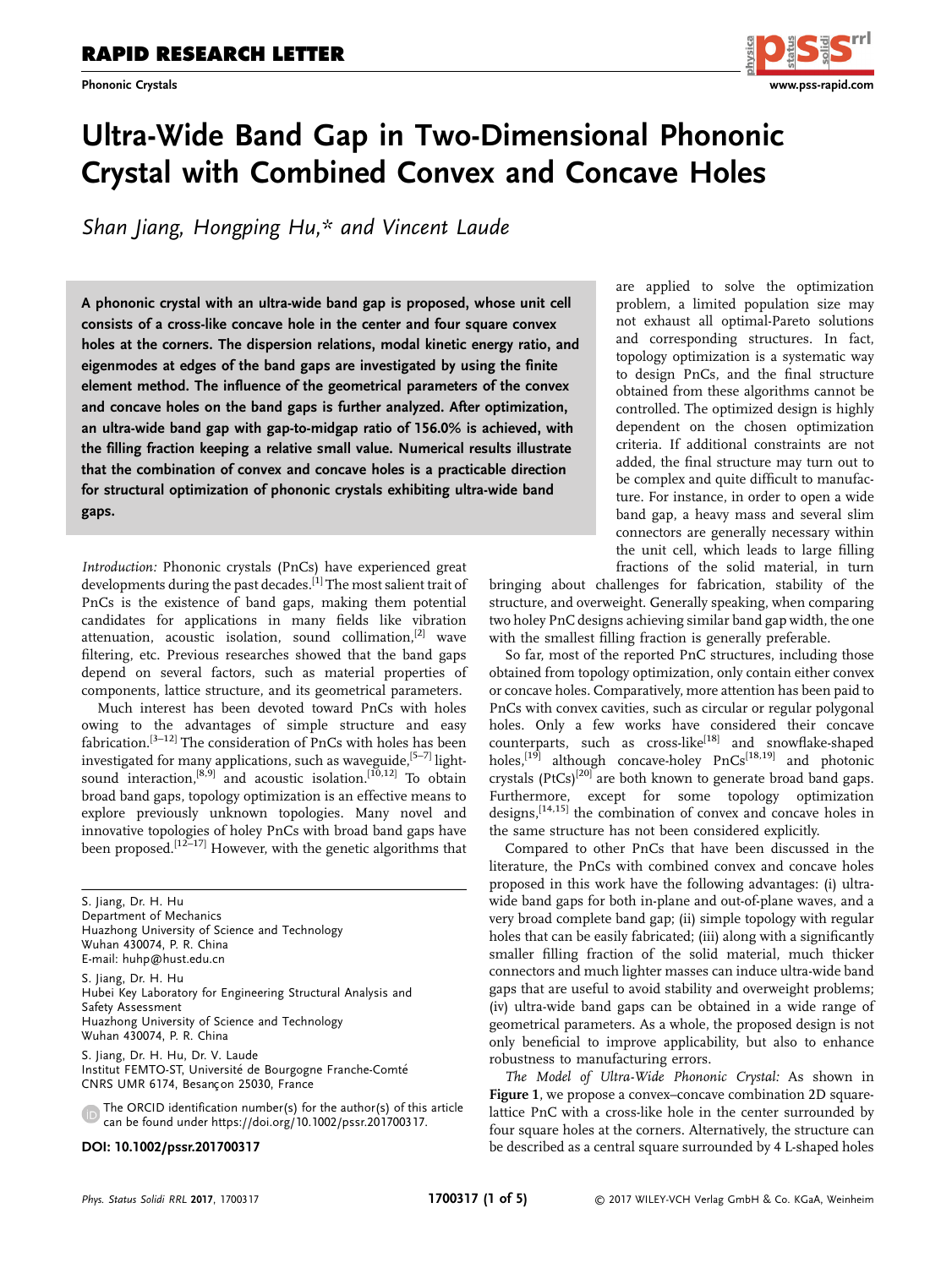

# Ultra-Wide Band Gap in Two-Dimensional Phononic Crystal with Combined Convex and Concave Holes

Shan Jiang, Hongping Hu,\* and Vincent Laude

A phononic crystal with an ultra-wide band gap is proposed, whose unit cell consists of a cross-like concave hole in the center and four square convex holes at the corners. The dispersion relations, modal kinetic energy ratio, and eigenmodes at edges of the band gaps are investigated by using the finite element method. The influence of the geometrical parameters of the convex and concave holes on the band gaps is further analyzed. After optimization, an ultra-wide band gap with gap-to-midgap ratio of 156.0% is achieved, with the filling fraction keeping a relative small value. Numerical results illustrate that the combination of convex and concave holes is a practicable direction for structural optimization of phononic crystals exhibiting ultra-wide band gaps.

Introduction: Phononic crystals (PnCs) have experienced great developments during the past decades.<sup>[1]</sup> The most salient trait of PnCs is the existence of band gaps, making them potential candidates for applications in many fields like vibration attenuation, acoustic isolation, sound collimation, $[2]$  wave filtering, etc. Previous researches showed that the band gaps depend on several factors, such as material properties of components, lattice structure, and its geometrical parameters.

Much interest has been devoted toward PnCs with holes owing to the advantages of simple structure and easy fabrication.<sup>[3-12]</sup> The consideration of PnCs with holes has been investigated for many applications, such as waveguide,  $[5-7]$  lightsound interaction,<sup>[8,9]</sup> and acoustic isolation.<sup>[10,12]</sup> To obtain broad band gaps, topology optimization is an effective means to explore previously unknown topologies. Many novel and innovative topologies of holey PnCs with broad band gaps have been proposed.<sup>[12–17]</sup> However, with the genetic algorithms that

S. Jiang, Dr. H. Hu Department of Mechanics Huazhong University of Science and Technology Wuhan 430074, P. R. China E-mail: huhp@hust.edu.cn

S. Jiang, Dr. H. Hu Hubei Key Laboratory for Engineering Structural Analysis and Safety Assessment Huazhong University of Science and Technology Wuhan 430074, P. R. China

S. Jiang, Dr. H. Hu, Dr. V. Laude Institut FEMTO-ST, Universite de Bourgogne Franche-Comte CNRS UMR 6174, Besançon 25030, France

The ORCID identification number(s) for the author(s) of this article can be found under [https://doi.org/10.1002/pssr.201700317.](https://doi.org/10.1002/pssr.201700317)

#### DOI: 10.1002/pssr.201700317

are applied to solve the optimization problem, a limited population size may not exhaust all optimal-Pareto solutions and corresponding structures. In fact, topology optimization is a systematic way to design PnCs, and the final structure obtained from these algorithms cannot be controlled. The optimized design is highly dependent on the chosen optimization criteria. If additional constraints are not added, the final structure may turn out to be complex and quite difficult to manufacture. For instance, in order to open a wide band gap, a heavy mass and several slim connectors are generally necessary within the unit cell, which leads to large filling fractions of the solid material, in turn

bringing about challenges for fabrication, stability of the structure, and overweight. Generally speaking, when comparing two holey PnC designs achieving similar band gap width, the one with the smallest filling fraction is generally preferable.

So far, most of the reported PnC structures, including those obtained from topology optimization, only contain either convex or concave holes. Comparatively, more attention has been paid to PnCs with convex cavities, such as circular or regular polygonal holes. Only a few works have considered their concave counterparts, such as cross-like<sup>[18]</sup> and snowflake-shaped holes,<sup>[19]</sup> although concave-holey PnCs<sup>[18,19]</sup> and photonic crystals  $(PtCs)^{[20]}$  are both known to generate broad band gaps. Furthermore, except for some topology optimization designs,<sup>[14,15]</sup> the combination of convex and concave holes in the same structure has not been considered explicitly.

Compared to other PnCs that have been discussed in the literature, the PnCs with combined convex and concave holes proposed in this work have the following advantages: (i) ultrawide band gaps for both in-plane and out-of-plane waves, and a very broad complete band gap; (ii) simple topology with regular holes that can be easily fabricated; (iii) along with a significantly smaller filling fraction of the solid material, much thicker connectors and much lighter masses can induce ultra-wide band gaps that are useful to avoid stability and overweight problems; (iv) ultra-wide band gaps can be obtained in a wide range of geometrical parameters. As a whole, the proposed design is not only beneficial to improve applicability, but also to enhance robustness to manufacturing errors.

The Model of Ultra-Wide Phononic Crystal: As shown in Figure 1, we propose a convex–concave combination 2D squarelattice PnC with a cross-like hole in the center surrounded by four square holes at the corners. Alternatively, the structure can be described as a central square surrounded by 4 L-shaped holes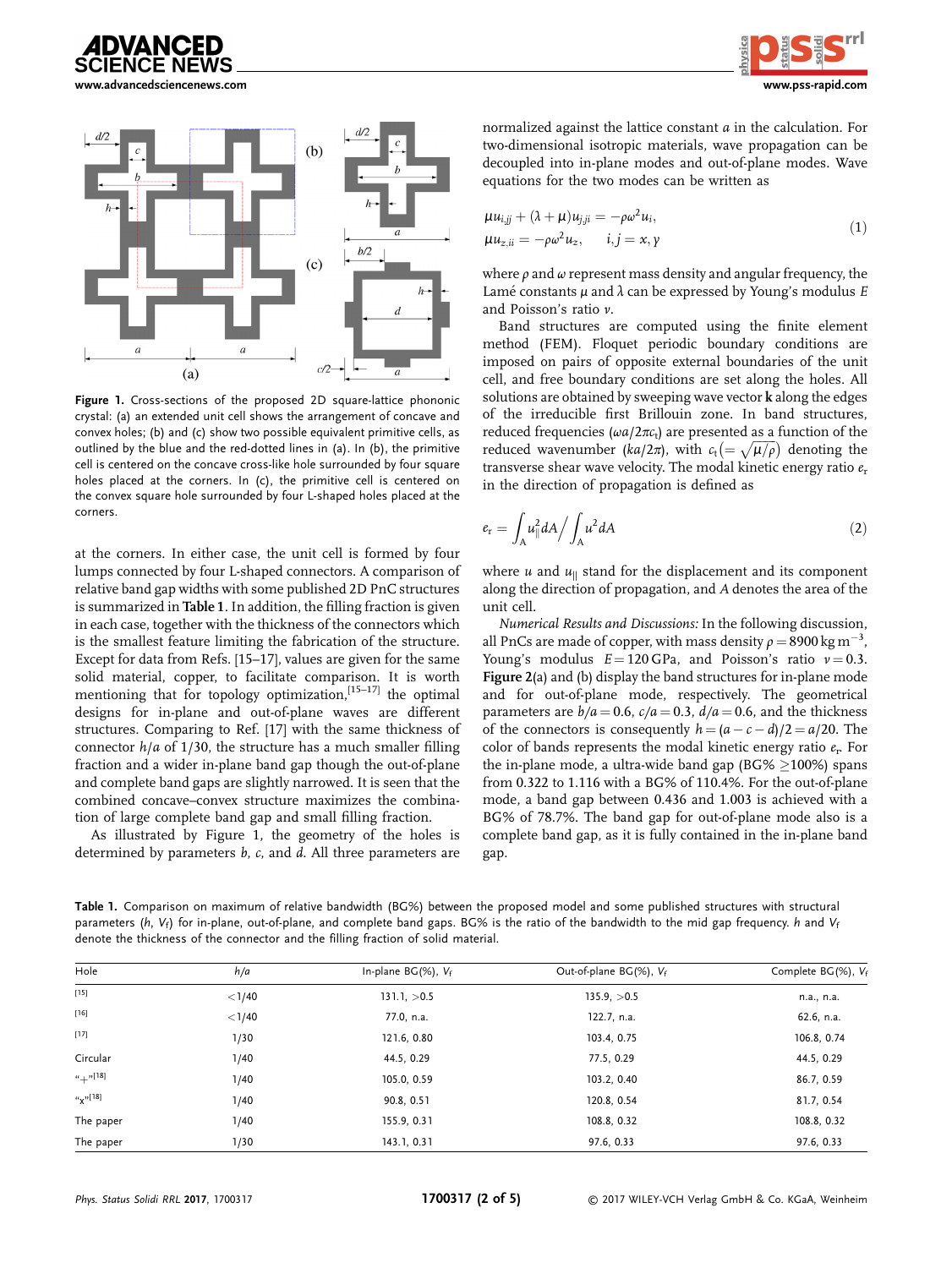



[www.advancedsciencenews.com](http://www.advancedsciencenews.com) [www.pss-rapid.com](http://www.pss-rapid.com)



Figure 1. Cross-sections of the proposed 2D square-lattice phononic crystal: (a) an extended unit cell shows the arrangement of concave and convex holes; (b) and (c) show two possible equivalent primitive cells, as outlined by the blue and the red-dotted lines in (a). In (b), the primitive cell is centered on the concave cross-like hole surrounded by four square holes placed at the corners. In (c), the primitive cell is centered on the convex square hole surrounded by four L-shaped holes placed at the corners.

at the corners. In either case, the unit cell is formed by four lumps connected by four L-shaped connectors. A comparison of relative band gap widths with some published 2D PnC structures is summarized in Table 1. In addition, the filling fraction is given in each case, together with the thickness of the connectors which is the smallest feature limiting the fabrication of the structure. Except for data from Refs. [15–17], values are given for the same solid material, copper, to facilitate comparison. It is worth mentioning that for topology optimization,<sup>[15-17]</sup> the optimal designs for in-plane and out-of-plane waves are different structures. Comparing to Ref. [17] with the same thickness of connector  $h/a$  of 1/30, the structure has a much smaller filling fraction and a wider in-plane band gap though the out-of-plane and complete band gaps are slightly narrowed. It is seen that the combined concave–convex structure maximizes the combination of large complete band gap and small filling fraction.

As illustrated by Figure 1, the geometry of the holes is determined by parameters b, c, and d. All three parameters are normalized against the lattice constant a in the calculation. For two-dimensional isotropic materials, wave propagation can be decoupled into in-plane modes and out-of-plane modes. Wave equations for the two modes can be written as

$$
\mu u_{i,jj} + (\lambda + \mu) u_{j,ji} = -\rho \omega^2 u_i,\n\mu u_{z,ii} = -\rho \omega^2 u_z, \qquad i, j = x, \gamma
$$
\n(1)

where  $\rho$  and  $\omega$  represent mass density and angular frequency, the Lamé constants  $\mu$  and  $\lambda$  can be expressed by Young's modulus E and Poisson's ratio ν.

Band structures are computed using the finite element method (FEM). Floquet periodic boundary conditions are imposed on pairs of opposite external boundaries of the unit cell, and free boundary conditions are set along the holes. All solutions are obtained by sweeping wave vector k along the edges of the irreducible first Brillouin zone. In band structures, reduced frequencies ( $\omega a/2\pi c_t$ ) are presented as a function of the reduced wavenumber (ka/2 $\pi$ ), with  $c_t = \sqrt{\mu/\rho}$ ) denoting the transverse shear wave velocity. The modal kinetic energy ratio  $e_r$ in the direction of propagation is defined as

$$
e_{\rm r} = \int_{\rm A} u_{\parallel}^2 dA / \int_{\rm A} u^2 dA \tag{2}
$$

where  $u$  and  $u_{\parallel}$  stand for the displacement and its component along the direction of propagation, and A denotes the area of the unit cell.

Numerical Results and Discussions: In the following discussion, all PnCs are made of copper, with mass density  $\rho = 8900 \,\mathrm{kg \, m^{-3}}$ , Young's modulus  $E = 120$  GPa, and Poisson's ratio  $v = 0.3$ . Figure 2(a) and (b) display the band structures for in-plane mode and for out-of-plane mode, respectively. The geometrical parameters are  $b/a = 0.6$ ,  $c/a = 0.3$ ,  $d/a = 0.6$ , and the thickness of the connectors is consequently  $h = (a - c - d)/2 = a/20$ . The color of bands represents the modal kinetic energy ratio  $e_r$ . For the in-plane mode, a ultra-wide band gap (BG%  $\geq$ 100%) spans from 0.322 to 1.116 with a BG% of 110.4%. For the out-of-plane mode, a band gap between 0.436 and 1.003 is achieved with a BG% of 78.7%. The band gap for out-of-plane mode also is a complete band gap, as it is fully contained in the in-plane band gap.

| Hole             | h/a      | In-plane $BG(\%)$ , $V_f$ | Out-of-plane $BG(\%)$ , $V_f$ | Complete BG(%), Vf |
|------------------|----------|---------------------------|-------------------------------|--------------------|
| $[15]$           | $<$ 1/40 | $131.1 \, >0.5$           | 135.9 <sub>1</sub> > 0.5      | n.a., n.a.         |
| $[16]$           | $<$ 1/40 | 77.0, n.a.                | 122.7, n.a.                   | 62.6, n.a.         |
| $[17]$           | 1/30     | 121.6, 0.80               | 103.4, 0.75                   | 106.8, 0.74        |
| Circular         | 1/40     | 44.5, 0.29                | 77.5, 0.29                    | 44.5, 0.29         |
| $u_{+}$ "[18]    | 1/40     | 105.0, 0.59               | 103.2, 0.40                   | 86.7, 0.59         |
| $u_{\chi}$ "[18] | 1/40     | 90.8, 0.51                | 120.8, 0.54                   | 81.7, 0.54         |
| The paper        | 1/40     | 155.9, 0.31               | 108.8, 0.32                   | 108.8, 0.32        |
| The paper        | 1/30     | 143.1, 0.31               | 97.6, 0.33                    | 97.6, 0.33         |

Table 1. Comparison on maximum of relative bandwidth (BG%) between the proposed model and some published structures with structural parameters (h,  $V_f$ ) for in-plane, out-of-plane, and complete band gaps. BG% is the ratio of the bandwidth to the mid gap frequency. h and  $V_f$ denote the thickness of the connector and the filling fraction of solid material.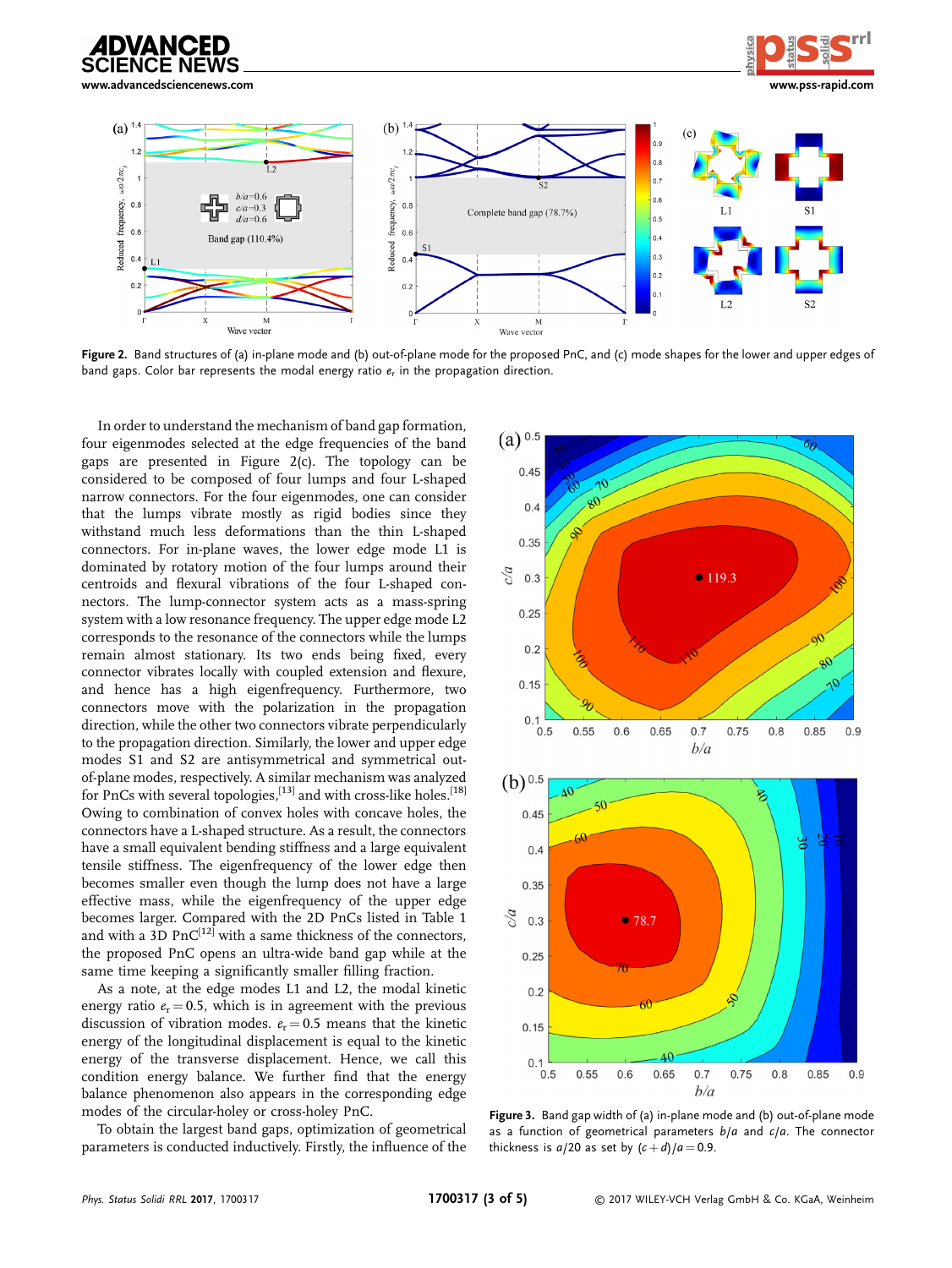

[www.advancedsciencenews.com](http://www.advancedsciencenews.com) [www.pss-rapid.com](http://www.pss-rapid.com)



Figure 2. Band structures of (a) in-plane mode and (b) out-of-plane mode for the proposed PnC, and (c) mode shapes for the lower and upper edges of band gaps. Color bar represents the modal energy ratio  $e_r$  in the propagation direction.

In order to understand the mechanism of band gap formation, four eigenmodes selected at the edge frequencies of the band gaps are presented in Figure 2(c). The topology can be considered to be composed of four lumps and four L-shaped narrow connectors. For the four eigenmodes, one can consider that the lumps vibrate mostly as rigid bodies since they withstand much less deformations than the thin L-shaped connectors. For in-plane waves, the lower edge mode L1 is dominated by rotatory motion of the four lumps around their centroids and flexural vibrations of the four L-shaped connectors. The lump-connector system acts as a mass-spring system with a low resonance frequency. The upper edge mode L2 corresponds to the resonance of the connectors while the lumps remain almost stationary. Its two ends being fixed, every connector vibrates locally with coupled extension and flexure, and hence has a high eigenfrequency. Furthermore, two connectors move with the polarization in the propagation direction, while the other two connectors vibrate perpendicularly to the propagation direction. Similarly, the lower and upper edge modes S1 and S2 are antisymmetrical and symmetrical outof-plane modes, respectively. A similar mechanism was analyzed for PnCs with several topologies,  $[13]$  and with cross-like holes.<sup>[18]</sup> Owing to combination of convex holes with concave holes, the connectors have a L-shaped structure. As a result, the connectors have a small equivalent bending stiffness and a large equivalent tensile stiffness. The eigenfrequency of the lower edge then becomes smaller even though the lump does not have a large effective mass, while the eigenfrequency of the upper edge becomes larger. Compared with the 2D PnCs listed in Table 1 and with a  $3D$  PnC<sup>[12]</sup> with a same thickness of the connectors, the proposed PnC opens an ultra-wide band gap while at the same time keeping a significantly smaller filling fraction.

As a note, at the edge modes L1 and L2, the modal kinetic energy ratio  $e_r = 0.5$ , which is in agreement with the previous discussion of vibration modes.  $e_r = 0.5$  means that the kinetic energy of the longitudinal displacement is equal to the kinetic energy of the transverse displacement. Hence, we call this condition energy balance. We further find that the energy balance phenomenon also appears in the corresponding edge modes of the circular-holey or cross-holey PnC.

To obtain the largest band gaps, optimization of geometrical parameters is conducted inductively. Firstly, the influence of the



Figure 3. Band gap width of (a) in-plane mode and (b) out-of-plane mode as a function of geometrical parameters  $b/a$  and  $c/a$ . The connector thickness is  $a/20$  as set by  $(c+d)/a = 0.9$ .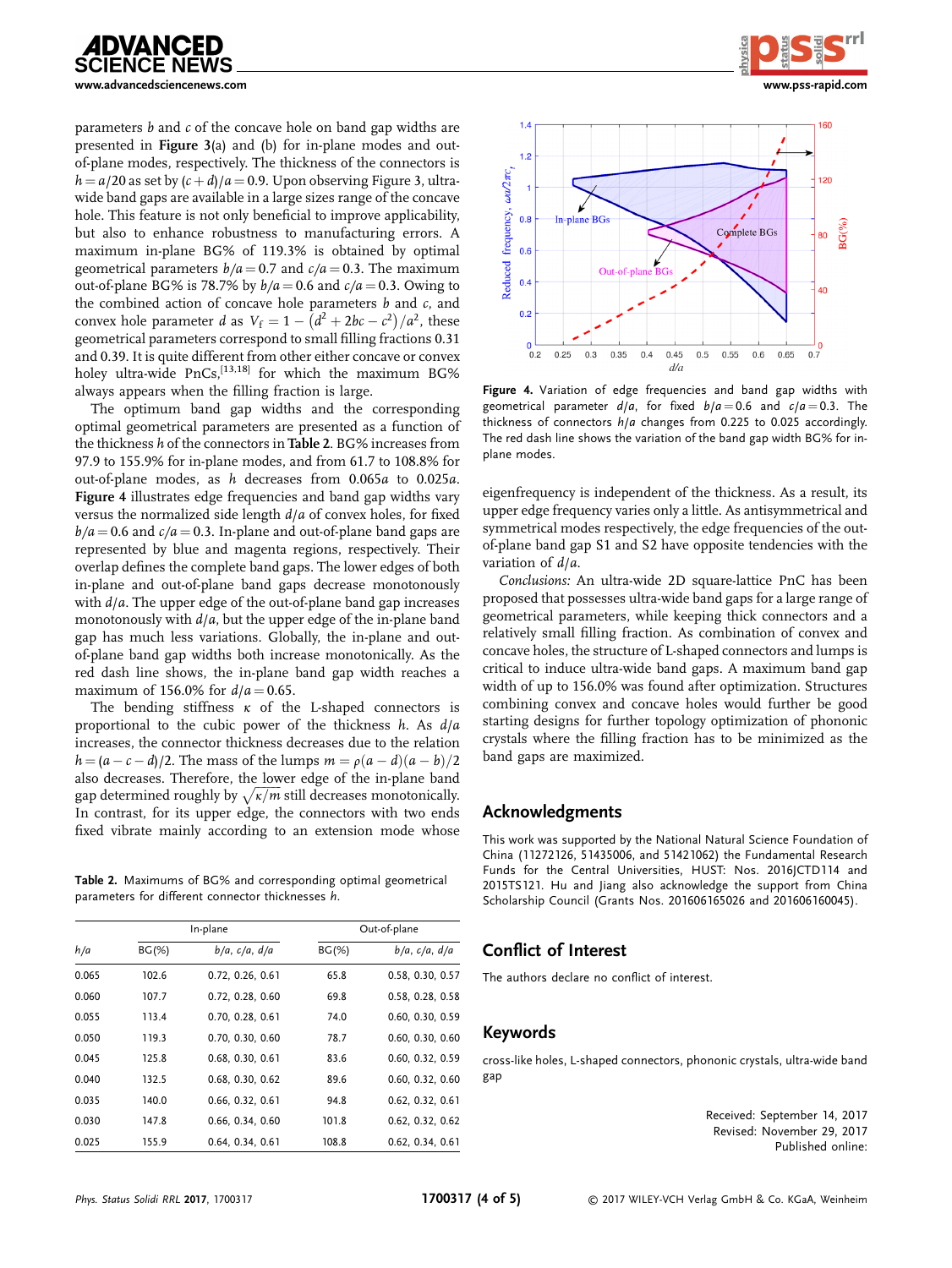

parameters  $b$  and  $c$  of the concave hole on band gap widths are presented in Figure 3(a) and (b) for in-plane modes and outof-plane modes, respectively. The thickness of the connectors is  $h = a/20$  as set by  $(c + d)/a = 0.9$ . Upon observing Figure 3, ultrawide band gaps are available in a large sizes range of the concave hole. This feature is not only beneficial to improve applicability, but also to enhance robustness to manufacturing errors. A maximum in-plane BG% of 119.3% is obtained by optimal geometrical parameters  $b/a = 0.7$  and  $c/a = 0.3$ . The maximum out-of-plane BG% is 78.7% by  $b/a = 0.6$  and  $c/a = 0.3$ . Owing to the combined action of concave hole parameters  $b$  and  $c$ , and convex hole parameter *d* as  $V_f = 1 - (d^2 + 2bc - c^2)/a^2$ , these geometrical parameters correspond to small filling fractions 0.31 and 0.39. It is quite different from other either concave or convex holey ultra-wide PnCs,<sup>[13,18]</sup> for which the maximum BG% always appears when the filling fraction is large.

The optimum band gap widths and the corresponding optimal geometrical parameters are presented as a function of the thickness <sup>h</sup> of the connectors in Table 2. BG% increases from 97.9 to 155.9% for in-plane modes, and from 61.7 to 108.8% for out-of-plane modes, as h decreases from 0.065a to 0.025a. Figure 4 illustrates edge frequencies and band gap widths vary versus the normalized side length d/a of convex holes, for fixed  $b/a = 0.6$  and  $c/a = 0.3$ . In-plane and out-of-plane band gaps are represented by blue and magenta regions, respectively. Their overlap defines the complete band gaps. The lower edges of both in-plane and out-of-plane band gaps decrease monotonously with  $d/a$ . The upper edge of the out-of-plane band gap increases monotonously with  $d/a$ , but the upper edge of the in-plane band gap has much less variations. Globally, the in-plane and outof-plane band gap widths both increase monotonically. As the red dash line shows, the in-plane band gap width reaches a maximum of 156.0% for  $d/a = 0.65$ .

The bending stiffness  $\kappa$  of the L-shaped connectors is proportional to the cubic power of the thickness  $h$ . As  $d/a$ increases, the connector thickness decreases due to the relation  $h = (a - c - d)/2$ . The mass of the lumps  $m = \rho(a - d)(a - b)/2$ also decreases. Therefore, the lower edge of the in-plane band gap determined roughly by  $\sqrt{\kappa/m}$  still decreases monotonically. In contrast, for its upper edge, the connectors with two ends fixed vibrate mainly according to an extension mode whose

Table 2. Maximums of BG% and corresponding optimal geometrical parameters for different connector thicknesses h.

| h/a   | In-plane |                       | Out-of-plane |                       |
|-------|----------|-----------------------|--------------|-----------------------|
|       | $BG(\%)$ | $b/a$ , $c/a$ , $d/a$ | $BG(\%)$     | $b/a$ , $c/a$ , $d/a$ |
| 0.065 | 102.6    | 0.72, 0.26, 0.61      | 65.8         | 0.58, 0.30, 0.57      |
| 0.060 | 107.7    | 0.72, 0.28, 0.60      | 69.8         | 0.58, 0.28, 0.58      |
| 0.055 | 113.4    | 0.70, 0.28, 0.61      | 74.0         | 0.60, 0.30, 0.59      |
| 0.050 | 119.3    | 0.70, 0.30, 0.60      | 78.7         | 0.60, 0.30, 0.60      |
| 0.045 | 125.8    | 0.68, 0.30, 0.61      | 83.6         | 0.60, 0.32, 0.59      |
| 0.040 | 132.5    | 0.68, 0.30, 0.62      | 89.6         | 0.60, 0.32, 0.60      |
| 0.035 | 140.0    | 0.66, 0.32, 0.61      | 94.8         | 0.62, 0.32, 0.61      |
| 0.030 | 147.8    | 0.66, 0.34, 0.60      | 101.8        | 0.62, 0.32, 0.62      |
| 0.025 | 155.9    | 0.64, 0.34, 0.61      | 108.8        | 0.62, 0.34, 0.61      |





Figure 4. Variation of edge frequencies and band gap widths with geometrical parameter  $d/a$ , for fixed  $b/a = 0.6$  and  $c/a = 0.3$ . The thickness of connectors h/a changes from 0.225 to 0.025 accordingly. The red dash line shows the variation of the band gap width BG% for inplane modes.

eigenfrequency is independent of the thickness. As a result, its upper edge frequency varies only a little. As antisymmetrical and symmetrical modes respectively, the edge frequencies of the outof-plane band gap S1 and S2 have opposite tendencies with the variation of d/a.

Conclusions: An ultra-wide 2D square-lattice PnC has been proposed that possesses ultra-wide band gaps for a large range of geometrical parameters, while keeping thick connectors and a relatively small filling fraction. As combination of convex and concave holes, the structure of L-shaped connectors and lumps is critical to induce ultra-wide band gaps. A maximum band gap width of up to 156.0% was found after optimization. Structures combining convex and concave holes would further be good starting designs for further topology optimization of phononic crystals where the filling fraction has to be minimized as the band gaps are maximized.

### Acknowledgments

This work was supported by the National Natural Science Foundation of China (11272126, 51435006, and 51421062) the Fundamental Research Funds for the Central Universities, HUST: Nos. 2016JCTD114 and 2015TS121. Hu and Jiang also acknowledge the support from China Scholarship Council (Grants Nos. 201606165026 and 201606160045).

## Conflict of Interest

The authors declare no conflict of interest.

### Keywords

cross-like holes, L-shaped connectors, phononic crystals, ultra-wide band gap

> Received: September 14, 2017 Revised: November 29, 2017 Published online: